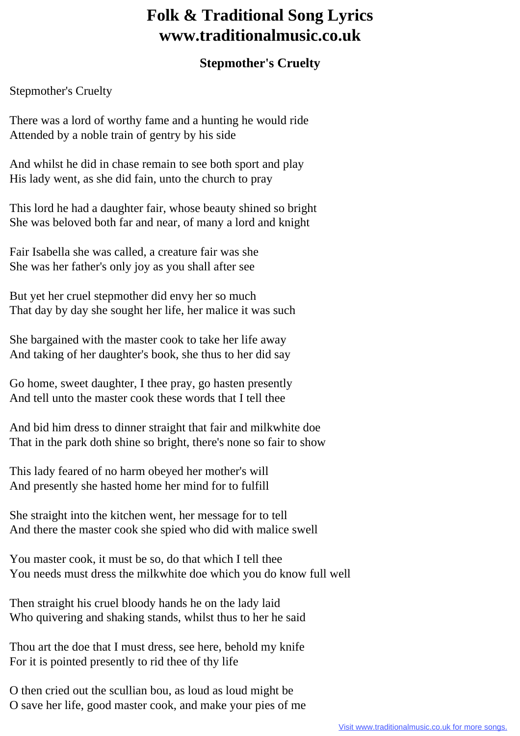## **Folk & Traditional Song Lyrics www.traditionalmusic.co.uk**

## **Stepmother's Cruelty**

Stepmother's Cruelty

There was a lord of worthy fame and a hunting he would ride Attended by a noble train of gentry by his side

And whilst he did in chase remain to see both sport and play His lady went, as she did fain, unto the church to pray

This lord he had a daughter fair, whose beauty shined so bright She was beloved both far and near, of many a lord and knight

Fair Isabella she was called, a creature fair was she She was her father's only joy as you shall after see

But yet her cruel stepmother did envy her so much That day by day she sought her life, her malice it was such

She bargained with the master cook to take her life away And taking of her daughter's book, she thus to her did say

Go home, sweet daughter, I thee pray, go hasten presently And tell unto the master cook these words that I tell thee

And bid him dress to dinner straight that fair and milkwhite doe That in the park doth shine so bright, there's none so fair to show

This lady feared of no harm obeyed her mother's will And presently she hasted home her mind for to fulfill

She straight into the kitchen went, her message for to tell And there the master cook she spied who did with malice swell

You master cook, it must be so, do that which I tell thee You needs must dress the milkwhite doe which you do know full well

Then straight his cruel bloody hands he on the lady laid Who quivering and shaking stands, whilst thus to her he said

Thou art the doe that I must dress, see here, behold my knife For it is pointed presently to rid thee of thy life

O then cried out the scullian bou, as loud as loud might be O save her life, good master cook, and make your pies of me